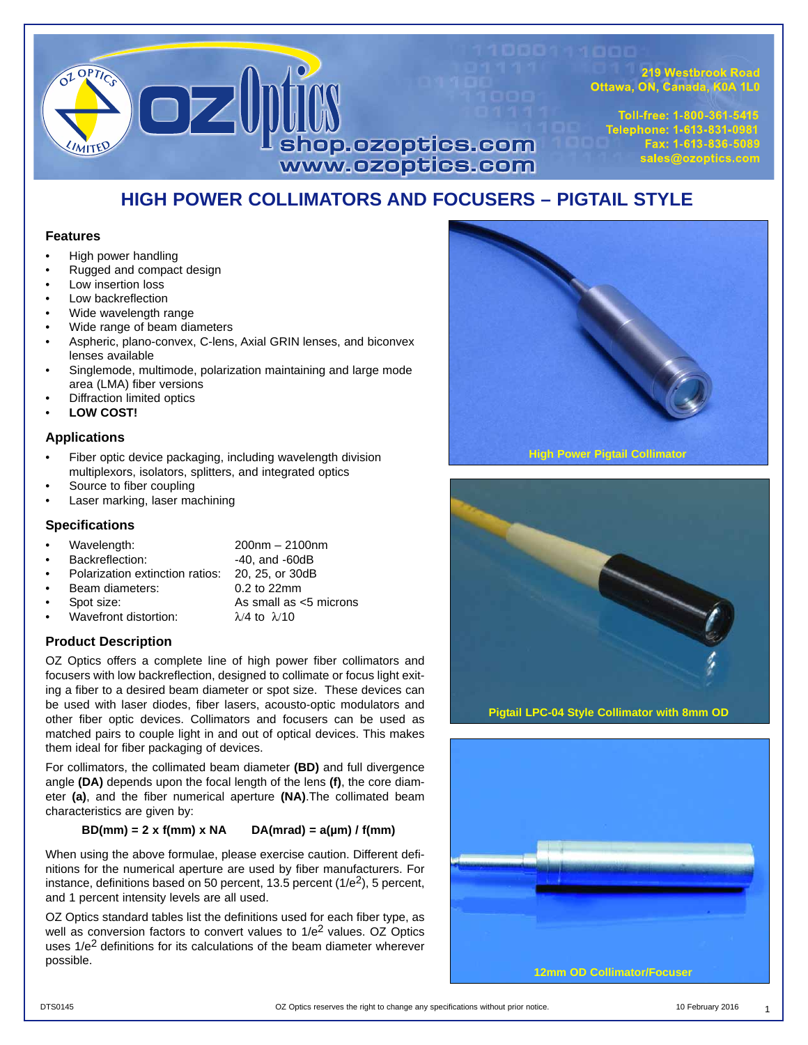

219 Westbrook Road Ottawa, ON, Canada, K0A 1L0

Toll-free: 1-800-361-5415 Telephone: 1-613-831-0981 Fax: 1-613-836-5089 sales@ozoptics.com

# **HIGH POWER COLLIMATORS AND FOCUSERS – PIGTAIL STYLE**

#### **Features**

- High power handling
- Rugged and compact design
- Low insertion loss
- Low backreflection
- Wide wavelength range
- Wide range of beam diameters
- Aspheric, plano-convex, C-lens, Axial GRIN lenses, and biconvex lenses available
- Singlemode, multimode, polarization maintaining and large mode area (LMA) fiber versions
- Diffraction limited optics
- **LOW COST!**

#### **Applications**

- Fiber optic device packaging, including wavelength division multiplexors, isolators, splitters, and integrated optics
- Source to fiber coupling
- Laser marking, laser machining

### **Specifications**

- Wavelength: 200nm 2100nm
- Backreflection: -40, and -60dB
- Polarization extinction ratios: 20, 25, or 30dB
- Beam diameters:
- 

• Spot size: As small as <5 microns Wavefront distortion:  $\lambda/4$  to  $\lambda/10$ 

**Product Description**

OZ Optics offers a complete line of high power fiber collimators and focusers with low backreflection, designed to collimate or focus light exiting a fiber to a desired beam diameter or spot size. These devices can be used with laser diodes, fiber lasers, acousto-optic modulators and other fiber optic devices. Collimators and focusers can be used as matched pairs to couple light in and out of optical devices. This makes them ideal for fiber packaging of devices.

For collimators, the collimated beam diameter **(BD)** and full divergence angle **(DA)** depends upon the focal length of the lens **(f)**, the core diameter **(a)**, and the fiber numerical aperture **(NA)**.The collimated beam characteristics are given by:

### $BD(mm) = 2 x f(mm) x NA$   $DA(mrad) = a(\mu m) / f(mm)$

When using the above formulae, please exercise caution. Different definitions for the numerical aperture are used by fiber manufacturers. For instance, definitions based on 50 percent, 13.5 percent  $(1/e^2)$ , 5 percent, and 1 percent intensity levels are all used.

OZ Optics standard tables list the definitions used for each fiber type, as well as conversion factors to convert values to  $1/e^2$  values. OZ Optics uses  $1/e^2$  definitions for its calculations of the beam diameter wherever possible.





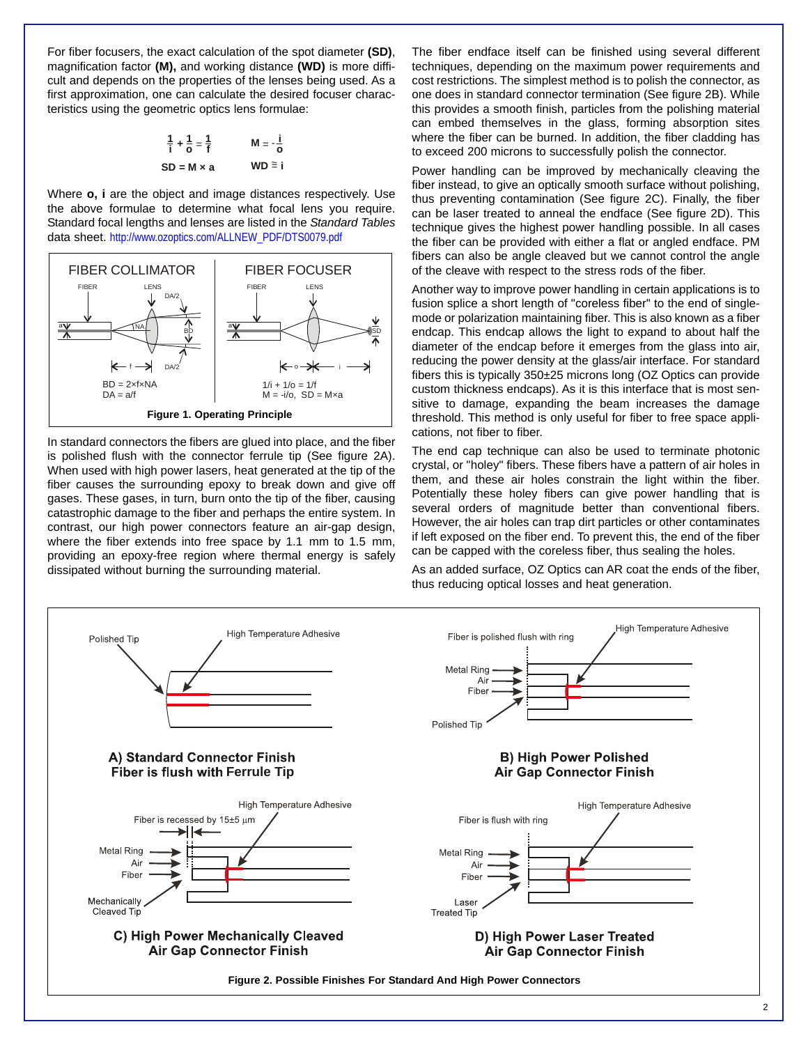For fiber focusers, the exact calculation of the spot diameter **(SD)**, magnification factor **(M),** and working distance **(WD)** is more difficult and depends on the properties of the lenses being used. As a first approximation, one can calculate the desired focuser characteristics using the geometric optics lens formulae:

$$
\frac{1}{i} + \frac{1}{o} = \frac{1}{f} \qquad \qquad M = -\frac{i}{o}
$$
  
SD = M × a \qquad \qquad WD \cong i

Where **o, i** are the object and image distances respectively. Use the above formulae to determine what focal lens you require. Standard focal lengths and lenses are listed in the *Standard Tables* data sheet. http://www.ozoptics.com/ALLNEW\_PDF/DTS0079.pdf



In standard connectors the fibers are glued into place, and the fiber is polished flush with the connector ferrule tip (See figure 2A). When used with high power lasers, heat generated at the tip of the fiber causes the surrounding epoxy to break down and give off gases. These gases, in turn, burn onto the tip of the fiber, causing catastrophic damage to the fiber and perhaps the entire system. In contrast, our high power connectors feature an air-gap design, where the fiber extends into free space by 1.1 mm to 1.5 mm, providing an epoxy-free region where thermal energy is safely dissipated without burning the surrounding material.

The fiber endface itself can be finished using several different techniques, depending on the maximum power requirements and cost restrictions. The simplest method is to polish the connector, as one does in standard connector termination (See figure 2B). While this provides a smooth finish, particles from the polishing material can embed themselves in the glass, forming absorption sites where the fiber can be burned. In addition, the fiber cladding has to exceed 200 microns to successfully polish the connector.

Power handling can be improved by mechanically cleaving the fiber instead, to give an optically smooth surface without polishing, thus preventing contamination (See figure 2C). Finally, the fiber can be laser treated to anneal the endface (See figure 2D). This technique gives the highest power handling possible. In all cases the fiber can be provided with either a flat or angled endface. PM fibers can also be angle cleaved but we cannot control the angle of the cleave with respect to the stress rods of the fiber.

Another way to improve power handling in certain applications is to fusion splice a short length of "coreless fiber" to the end of singlemode or polarization maintaining fiber. This is also known as a fiber endcap. This endcap allows the light to expand to about half the diameter of the endcap before it emerges from the glass into air, reducing the power density at the glass/air interface. For standard fibers this is typically 350±25 microns long (OZ Optics can provide custom thickness endcaps). As it is this interface that is most sensitive to damage, expanding the beam increases the damage threshold. This method is only useful for fiber to free space applications, not fiber to fiber.

The end cap technique can also be used to terminate photonic crystal, or "holey" fibers. These fibers have a pattern of air holes in them, and these air holes constrain the light within the fiber. Potentially these holey fibers can give power handling that is several orders of magnitude better than conventional fibers. However, the air holes can trap dirt particles or other contaminates if left exposed on the fiber end. To prevent this, the end of the fiber can be capped with the coreless fiber, thus sealing the holes.

As an added surface, OZ Optics can AR coat the ends of the fiber, thus reducing optical losses and heat generation.

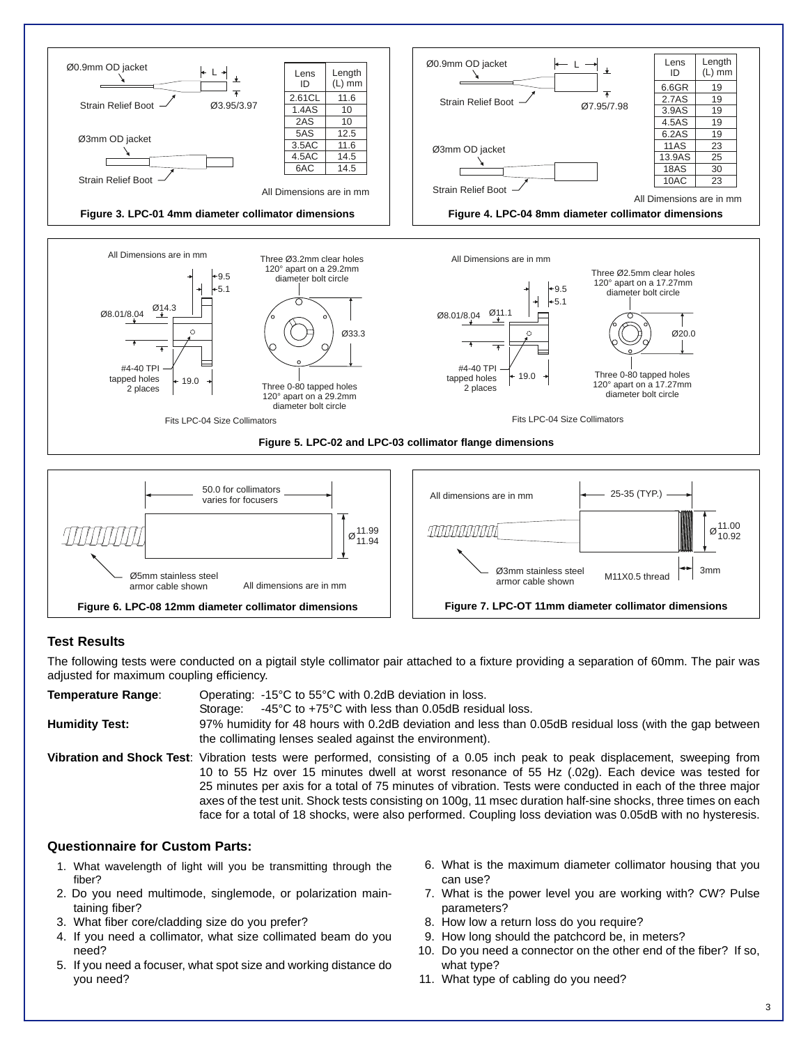

All dimensions are in mm armor cable shown

Ø5mm stainless steel

**Figure 6. LPC-08 12mm diameter collimator dimensions**



## **Test Results**

The following tests were conducted on a pigtail style collimator pair attached to a fixture providing a separation of 60mm. The pair was adjusted for maximum coupling efficiency.

| <b>Temperature Range:</b> | Operating: -15°C to 55°C with 0.2dB deviation in loss.<br>$-45^{\circ}$ C to $+75^{\circ}$ C with less than 0.05dB residual loss.<br>Storage:                                                                                                                                                                                                                                                                                                                                                                                                                                  |
|---------------------------|--------------------------------------------------------------------------------------------------------------------------------------------------------------------------------------------------------------------------------------------------------------------------------------------------------------------------------------------------------------------------------------------------------------------------------------------------------------------------------------------------------------------------------------------------------------------------------|
| <b>Humidity Test:</b>     | 97% humidity for 48 hours with 0.2dB deviation and less than 0.05dB residual loss (with the gap between<br>the collimating lenses sealed against the environment).                                                                                                                                                                                                                                                                                                                                                                                                             |
|                           | Vibration and Shock Test: Vibration tests were performed, consisting of a 0.05 inch peak to peak displacement, sweeping from<br>10 to 55 Hz over 15 minutes dwell at worst resonance of 55 Hz (.02g). Each device was tested for<br>25 minutes per axis for a total of 75 minutes of vibration. Tests were conducted in each of the three major<br>axes of the test unit. Shock tests consisting on 100g, 11 msec duration half-sine shocks, three times on each<br>face for a total of 18 shocks, were also performed. Coupling loss deviation was 0.05dB with no hysteresis. |

### **Questionnaire for Custom Parts:**

- 1. What wavelength of light will you be transmitting through the fiber?
- 2. Do you need multimode, singlemode, or polarization maintaining fiber?
- 3. What fiber core/cladding size do you prefer?
- 4. If you need a collimator, what size collimated beam do you need?
- 5. If you need a focuser, what spot size and working distance do you need?
- 6. What is the maximum diameter collimator housing that you can use?
- 7. What is the power level you are working with? CW? Pulse parameters?
- 8. How low a return loss do you require?
- 9. How long should the patchcord be, in meters?
- 10. Do you need a connector on the other end of the fiber? If so, what type?
- 11. What type of cabling do you need?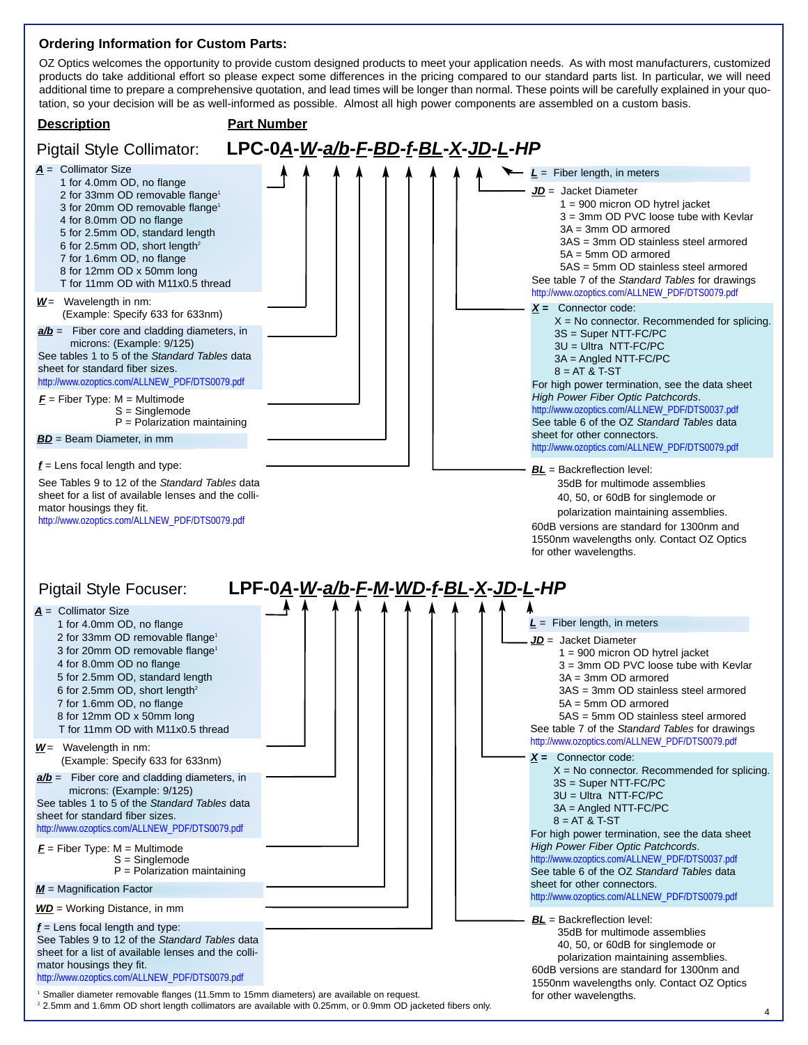## **Ordering Information for Custom Parts:**

OZ Optics welcomes the opportunity to provide custom designed products to meet your application needs. As with most manufacturers, customized products do take additional effort so please expect some differences in the pricing compared to our standard parts list. In particular, we will need additional time to prepare a comprehensive quotation, and lead times will be longer than normal. These points will be carefully explained in your quotation, so your decision will be as well-informed as possible. Almost all high power components are assembled on a custom basis.